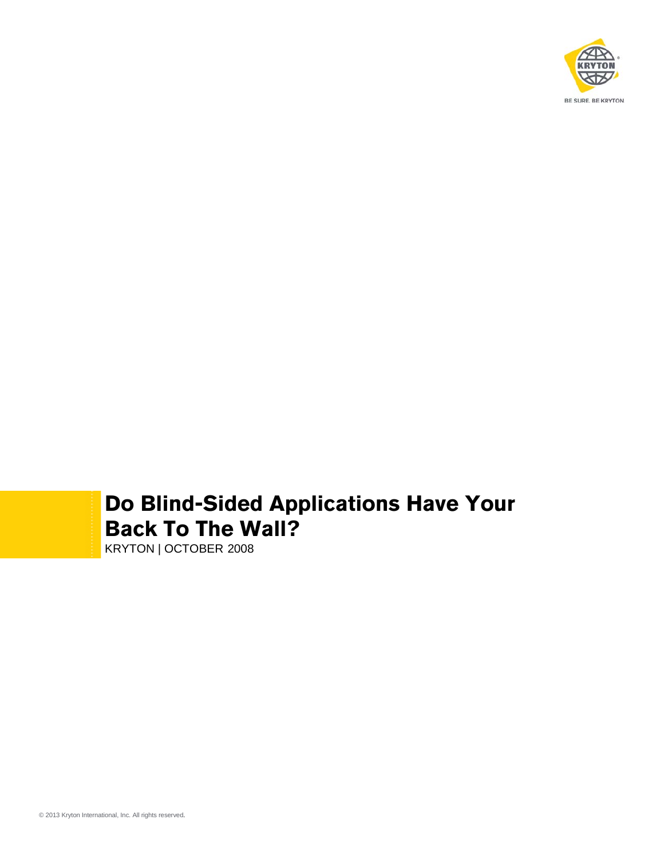

# **Do Blind-Sided Applications Have Your Back To The Wall?**

KRYTON | OCTOBER 2008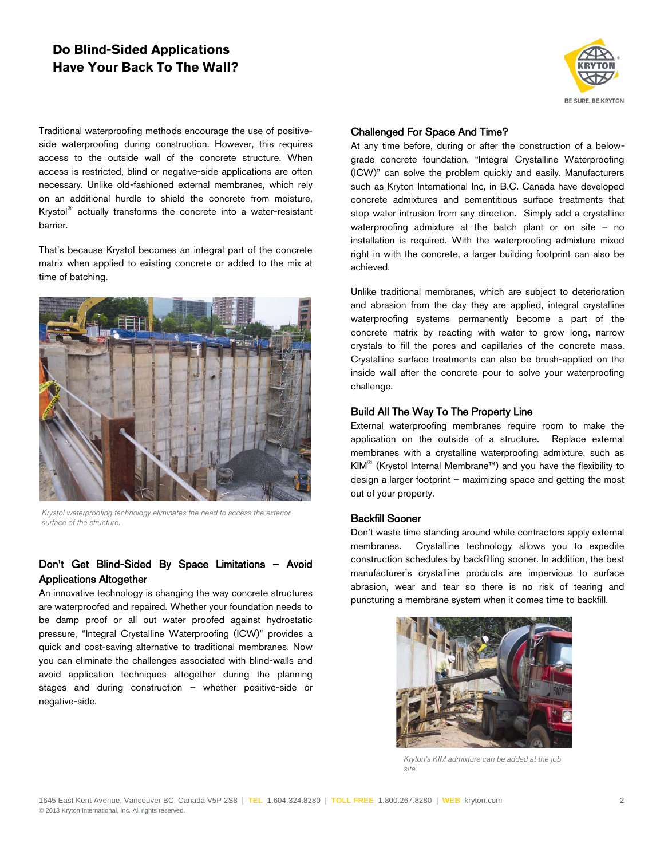## **Do Blind-Sided Applications Have Your Back To The Wall?**

BE SURE. BE KRYTON

Traditional waterproofing methods encourage the use of positiveside waterproofing during construction. However, this requires access to the outside wall of the concrete structure. When access is restricted, blind or negative-side applications are often necessary. Unlike old-fashioned external membranes, which rely on an additional hurdle to shield the concrete from moisture, Krystol® actually transforms the concrete into a water-resistant barrier.

That's because Krystol becomes an integral part of the concrete matrix when applied to existing concrete or added to the mix at time of batching.



*Krystol waterproofing technology eliminates the need to access the exterior surface of the structure.*

#### Don't Get Blind-Sided By Space Limitations – Avoid Applications Altogether

An innovative technology is changing the way concrete structures are waterproofed and repaired. Whether your foundation needs to be damp proof or all out water proofed against hydrostatic pressure, "Integral Crystalline Waterproofing (ICW)" provides a quick and cost-saving alternative to traditional membranes. Now you can eliminate the challenges associated with blind-walls and avoid application techniques altogether during the planning stages and during construction – whether positive-side or negative-side.

#### Challenged For Space And Time?

At any time before, during or after the construction of a belowgrade concrete foundation, "Integral Crystalline Waterproofing (ICW)" can solve the problem quickly and easily. Manufacturers such as Kryton International Inc, in B.C. Canada have developed concrete admixtures and cementitious surface treatments that stop water intrusion from any direction. Simply add a crystalline waterproofing admixture at the batch plant or on site – no installation is required. With the waterproofing admixture mixed right in with the concrete, a larger building footprint can also be achieved.

Unlike traditional membranes, which are subject to deterioration and abrasion from the day they are applied, integral crystalline waterproofing systems permanently become a part of the concrete matrix by reacting with water to grow long, narrow crystals to fill the pores and capillaries of the concrete mass. Crystalline surface treatments can also be brush-applied on the inside wall after the concrete pour to solve your waterproofing challenge.

#### Build All The Way To The Property Line

External waterproofing membranes require room to make the application on the outside of a structure. Replace external membranes with a crystalline waterproofing admixture, such as KIM® (Krystol Internal Membrane™) and you have the flexibility to design a larger footprint – maximizing space and getting the most out of your property.

#### Backfill Sooner

Don't waste time standing around while contractors apply external membranes. Crystalline technology allows you to expedite construction schedules by backfilling sooner. In addition, the best manufacturer's crystalline products are impervious to surface abrasion, wear and tear so there is no risk of tearing and puncturing a membrane system when it comes time to backfill.



*Kryton's KIM admixture can be added at the job site*